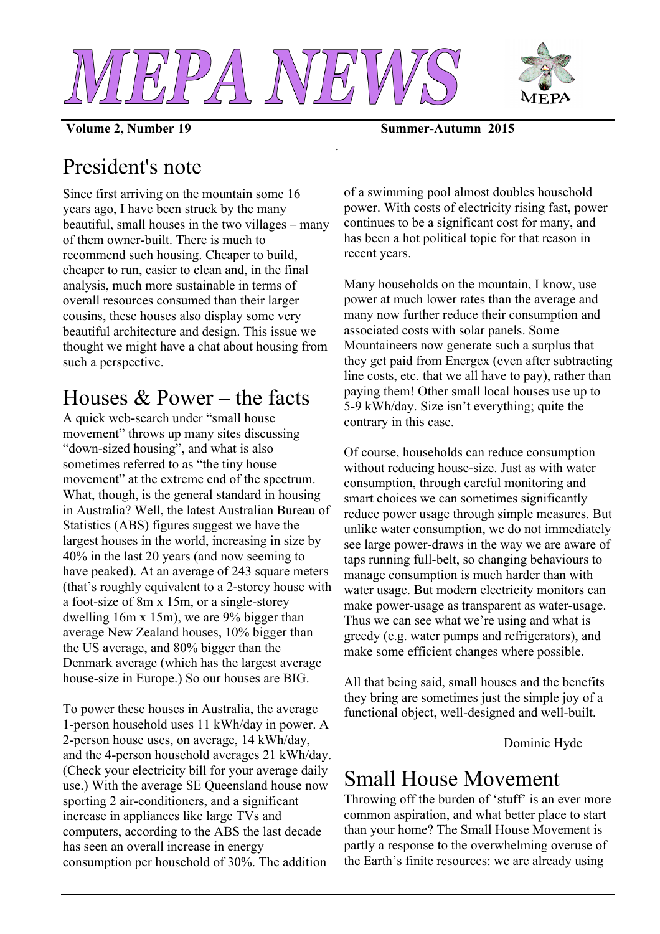

*.*



**Volume 2, Number 19 Summer-Autumn 2015**

# President's note

Since first arriving on the mountain some 16 years ago, I have been struck by the many beautiful, small houses in the two villages – many of them owner-built. There is much to recommend such housing. Cheaper to build, cheaper to run, easier to clean and, in the final analysis, much more sustainable in terms of overall resources consumed than their larger cousins, these houses also display some very beautiful architecture and design. This issue we thought we might have a chat about housing from such a perspective.

## Houses  $& Power - the facts$

A quick web-search under "small house movement" throws up many sites discussing "down-sized housing", and what is also sometimes referred to as "the tiny house movement" at the extreme end of the spectrum. What, though, is the general standard in housing in Australia? Well, the latest Australian Bureau of Statistics (ABS) figures suggest we have the largest houses in the world, increasing in size by 40% in the last 20 years (and now seeming to have peaked). At an average of 243 square meters (that's roughly equivalent to a 2-storey house with a foot-size of 8m x 15m, or a single-storey dwelling 16m x 15m), we are 9% bigger than average New Zealand houses, 10% bigger than the US average, and 80% bigger than the Denmark average (which has the largest average house-size in Europe.) So our houses are BIG.

To power these houses in Australia, the average 1-person household uses 11 kWh/day in power. A 2-person house uses, on average, 14 kWh/day, and the 4-person household averages 21 kWh/day. (Check your electricity bill for your average daily use.) With the average SE Queensland house now sporting 2 air-conditioners, and a significant increase in appliances like large TVs and computers, according to the ABS the last decade has seen an overall increase in energy consumption per household of 30%. The addition

of a swimming pool almost doubles household power. With costs of electricity rising fast, power continues to be a significant cost for many, and has been a hot political topic for that reason in recent years.

Many households on the mountain, I know, use power at much lower rates than the average and many now further reduce their consumption and associated costs with solar panels. Some Mountaineers now generate such a surplus that they get paid from Energex (even after subtracting line costs, etc. that we all have to pay), rather than paying them! Other small local houses use up to 5-9 kWh/day. Size isn't everything; quite the contrary in this case.

Of course, households can reduce consumption without reducing house-size. Just as with water consumption, through careful monitoring and smart choices we can sometimes significantly reduce power usage through simple measures. But unlike water consumption, we do not immediately see large power-draws in the way we are aware of taps running full-belt, so changing behaviours to manage consumption is much harder than with water usage. But modern electricity monitors can make power-usage as transparent as water-usage. Thus we can see what we're using and what is greedy (e.g. water pumps and refrigerators), and make some efficient changes where possible.

All that being said, small houses and the benefits they bring are sometimes just the simple joy of a functional object, well-designed and well-built.

Dominic Hyde

#### Small House Movement

Throwing off the burden of 'stuff' is an ever more common aspiration, and what better place to start than your home? The Small House Movement is partly a response to the overwhelming overuse of the Earth's finite resources: we are already using